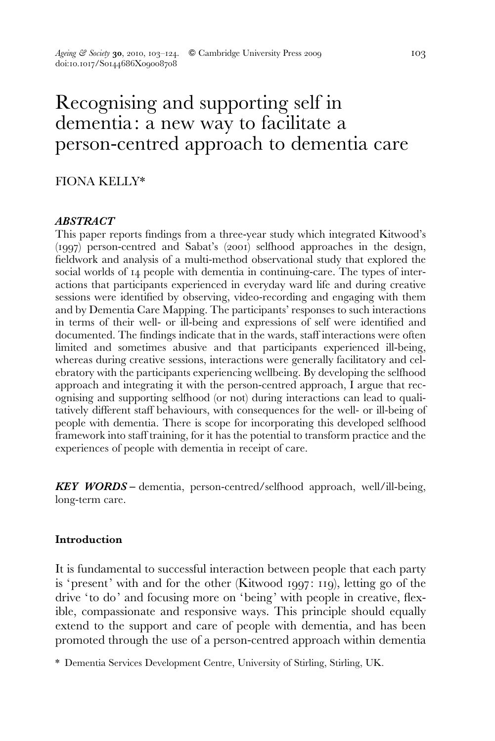# Recognising and supporting self in dementia: a new way to facilitate a person-centred approach to dementia care

FIONA KELLY\*

### ABSTRACT

This paper reports findings from a three-year study which integrated Kitwood's (1997) person-centred and Sabat's (2001) selfhood approaches in the design, fieldwork and analysis of a multi-method observational study that explored the social worlds of 14 people with dementia in continuing-care. The types of interactions that participants experienced in everyday ward life and during creative sessions were identified by observing, video-recording and engaging with them and by Dementia Care Mapping. The participants' responses to such interactions in terms of their well- or ill-being and expressions of self were identified and documented. The findings indicate that in the wards, staff interactions were often limited and sometimes abusive and that participants experienced ill-being, whereas during creative sessions, interactions were generally facilitatory and celebratory with the participants experiencing wellbeing. By developing the selfhood approach and integrating it with the person-centred approach, I argue that recognising and supporting selfhood (or not) during interactions can lead to qualitatively different staff behaviours, with consequences for the well- or ill-being of people with dementia. There is scope for incorporating this developed selfhood framework into staff training, for it has the potential to transform practice and the experiences of people with dementia in receipt of care.

KEY WORDS – dementia, person-centred/selfhood approach, well/ill-being, long-term care.

### Introduction

It is fundamental to successful interaction between people that each party is 'present' with and for the other (Kitwood 1997: 119), letting go of the drive 'to do' and focusing more on 'being' with people in creative, flexible, compassionate and responsive ways. This principle should equally extend to the support and care of people with dementia, and has been promoted through the use of a person-centred approach within dementia

<sup>\*</sup> Dementia Services Development Centre, University of Stirling, Stirling, UK.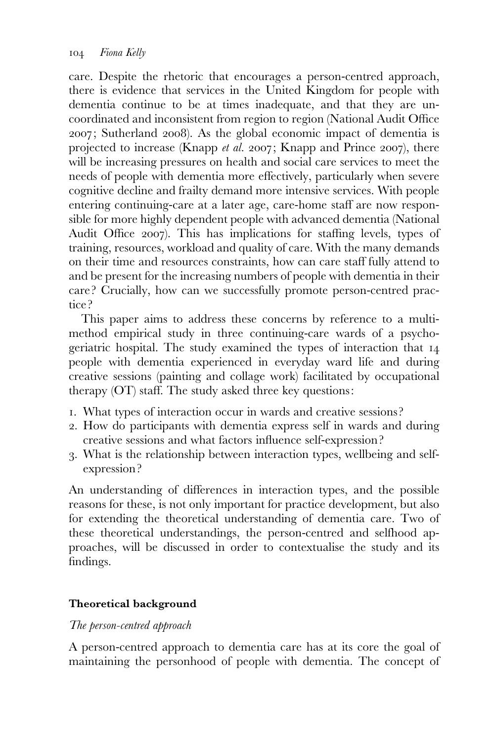care. Despite the rhetoric that encourages a person-centred approach, there is evidence that services in the United Kingdom for people with dementia continue to be at times inadequate, and that they are uncoordinated and inconsistent from region to region (National Audit Office 2007; Sutherland 2008). As the global economic impact of dementia is projected to increase (Knapp et al. 2007; Knapp and Prince 2007), there will be increasing pressures on health and social care services to meet the needs of people with dementia more effectively, particularly when severe cognitive decline and frailty demand more intensive services. With people entering continuing-care at a later age, care-home staff are now responsible for more highly dependent people with advanced dementia (National Audit Office 2007). This has implications for staffing levels, types of training, resources, workload and quality of care. With the many demands on their time and resources constraints, how can care staff fully attend to and be present for the increasing numbers of people with dementia in their care ? Crucially, how can we successfully promote person-centred practice ?

This paper aims to address these concerns by reference to a multimethod empirical study in three continuing-care wards of a psychogeriatric hospital. The study examined the types of interaction that 14 people with dementia experienced in everyday ward life and during creative sessions (painting and collage work) facilitated by occupational therapy (OT) staff. The study asked three key questions:

- 1. What types of interaction occur in wards and creative sessions?
- 2. How do participants with dementia express self in wards and during creative sessions and what factors influence self-expression?
- 3. What is the relationship between interaction types, wellbeing and selfexpression ?

An understanding of differences in interaction types, and the possible reasons for these, is not only important for practice development, but also for extending the theoretical understanding of dementia care. Two of these theoretical understandings, the person-centred and selfhood approaches, will be discussed in order to contextualise the study and its findings.

# Theoretical background

# The person-centred approach

A person-centred approach to dementia care has at its core the goal of maintaining the personhood of people with dementia. The concept of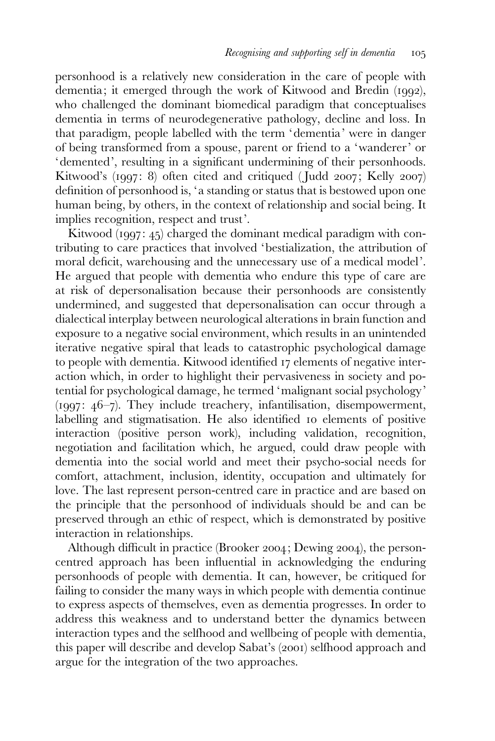personhood is a relatively new consideration in the care of people with dementia; it emerged through the work of Kitwood and Bredin (1992), who challenged the dominant biomedical paradigm that conceptualises dementia in terms of neurodegenerative pathology, decline and loss. In that paradigm, people labelled with the term 'dementia' were in danger of being transformed from a spouse, parent or friend to a 'wanderer' or 'demented', resulting in a significant undermining of their personhoods. Kitwood's (1997: 8) often cited and critiqued ( Judd 2007; Kelly 2007) definition of personhood is, 'a standing or status that is bestowed upon one human being, by others, in the context of relationship and social being. It implies recognition, respect and trust'.

Kitwood (1997: 45) charged the dominant medical paradigm with contributing to care practices that involved 'bestialization, the attribution of moral deficit, warehousing and the unnecessary use of a medical model'. He argued that people with dementia who endure this type of care are at risk of depersonalisation because their personhoods are consistently undermined, and suggested that depersonalisation can occur through a dialectical interplay between neurological alterations in brain function and exposure to a negative social environment, which results in an unintended iterative negative spiral that leads to catastrophic psychological damage to people with dementia. Kitwood identified 17 elements of negative interaction which, in order to highlight their pervasiveness in society and potential for psychological damage, he termed 'malignant social psychology' (1997: 46–7). They include treachery, infantilisation, disempowerment, labelling and stigmatisation. He also identified 10 elements of positive interaction (positive person work), including validation, recognition, negotiation and facilitation which, he argued, could draw people with dementia into the social world and meet their psycho-social needs for comfort, attachment, inclusion, identity, occupation and ultimately for love. The last represent person-centred care in practice and are based on the principle that the personhood of individuals should be and can be preserved through an ethic of respect, which is demonstrated by positive interaction in relationships.

Although difficult in practice (Brooker 2004; Dewing 2004), the personcentred approach has been influential in acknowledging the enduring personhoods of people with dementia. It can, however, be critiqued for failing to consider the many ways in which people with dementia continue to express aspects of themselves, even as dementia progresses. In order to address this weakness and to understand better the dynamics between interaction types and the selfhood and wellbeing of people with dementia, this paper will describe and develop Sabat's (2001) selfhood approach and argue for the integration of the two approaches.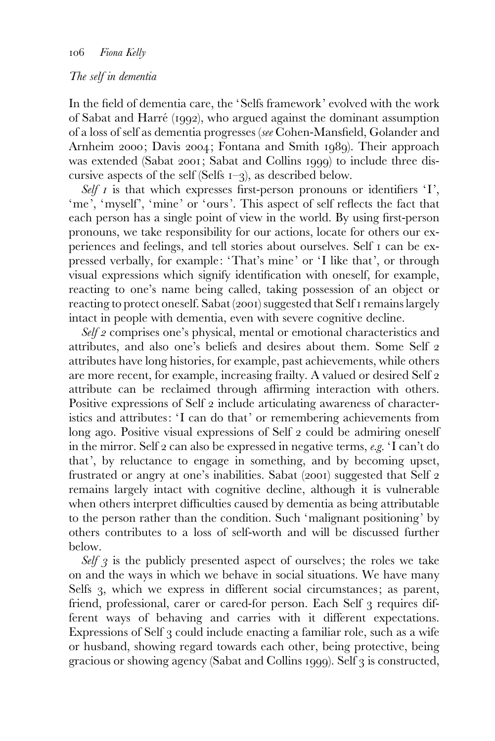### The self in dementia

In the field of dementia care, the 'Selfs framework' evolved with the work of Sabat and Harre´ (1992), who argued against the dominant assumption of a loss of self as dementia progresses (see Cohen-Mansfield, Golander and Arnheim 2000; Davis 2004; Fontana and Smith 1989). Their approach was extended (Sabat 2001; Sabat and Collins 1999) to include three discursive aspects of the self (Selfs  $I-3$ ), as described below.

Self  $I$  is that which expresses first-person pronouns or identifiers  $I'$ , 'me', 'myself', 'mine' or 'ours'. This aspect of self reflects the fact that each person has a single point of view in the world. By using first-person pronouns, we take responsibility for our actions, locate for others our experiences and feelings, and tell stories about ourselves. Self 1 can be expressed verbally, for example: 'That's mine' or 'I like that', or through visual expressions which signify identification with oneself, for example, reacting to one's name being called, taking possession of an object or reacting to protect oneself. Sabat (2001) suggested that Self 1 remains largely intact in people with dementia, even with severe cognitive decline.

Self 2 comprises one's physical, mental or emotional characteristics and attributes, and also one's beliefs and desires about them. Some Self 2 attributes have long histories, for example, past achievements, while others are more recent, for example, increasing frailty. A valued or desired Self 2 attribute can be reclaimed through affirming interaction with others. Positive expressions of Self 2 include articulating awareness of characteristics and attributes: 'I can do that' or remembering achievements from long ago. Positive visual expressions of Self 2 could be admiring oneself in the mirror. Self 2 can also be expressed in negative terms, e.g. ' I can't do that', by reluctance to engage in something, and by becoming upset, frustrated or angry at one's inabilities. Sabat (2001) suggested that Self 2 remains largely intact with cognitive decline, although it is vulnerable when others interpret difficulties caused by dementia as being attributable to the person rather than the condition. Such 'malignant positioning' by others contributes to a loss of self-worth and will be discussed further below.

Self  $\alpha$  is the publicly presented aspect of ourselves; the roles we take on and the ways in which we behave in social situations. We have many Selfs 3, which we express in different social circumstances; as parent, friend, professional, carer or cared-for person. Each Self 3 requires different ways of behaving and carries with it different expectations. Expressions of Self 3 could include enacting a familiar role, such as a wife or husband, showing regard towards each other, being protective, being gracious or showing agency (Sabat and Collins 1999). Self 3 is constructed,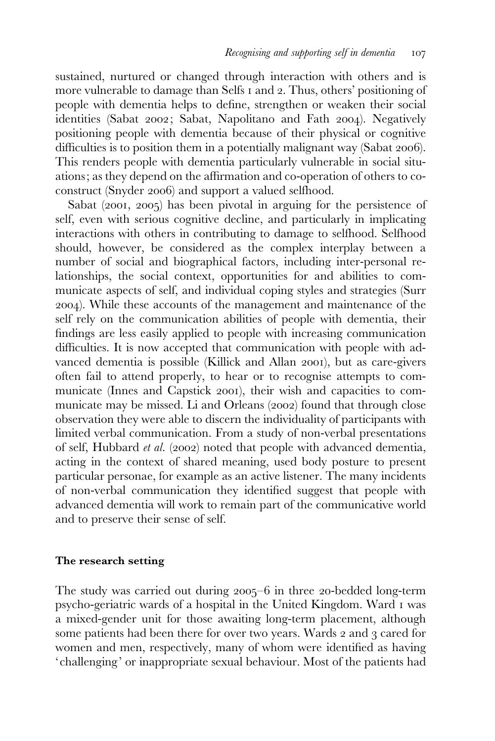sustained, nurtured or changed through interaction with others and is more vulnerable to damage than Selfs 1 and 2. Thus, others' positioning of people with dementia helps to define, strengthen or weaken their social identities (Sabat 2002; Sabat, Napolitano and Fath 2004). Negatively positioning people with dementia because of their physical or cognitive difficulties is to position them in a potentially malignant way (Sabat 2006). This renders people with dementia particularly vulnerable in social situations; as they depend on the affirmation and co-operation of others to coconstruct (Snyder 2006) and support a valued selfhood.

Sabat (2001, 2005) has been pivotal in arguing for the persistence of self, even with serious cognitive decline, and particularly in implicating interactions with others in contributing to damage to selfhood. Selfhood should, however, be considered as the complex interplay between a number of social and biographical factors, including inter-personal relationships, the social context, opportunities for and abilities to communicate aspects of self, and individual coping styles and strategies (Surr 2004). While these accounts of the management and maintenance of the self rely on the communication abilities of people with dementia, their findings are less easily applied to people with increasing communication difficulties. It is now accepted that communication with people with advanced dementia is possible (Killick and Allan 2001), but as care-givers often fail to attend properly, to hear or to recognise attempts to communicate (Innes and Capstick 2001), their wish and capacities to communicate may be missed. Li and Orleans (2002) found that through close observation they were able to discern the individuality of participants with limited verbal communication. From a study of non-verbal presentations of self, Hubbard et al. (2002) noted that people with advanced dementia, acting in the context of shared meaning, used body posture to present particular personae, for example as an active listener. The many incidents of non-verbal communication they identified suggest that people with advanced dementia will work to remain part of the communicative world and to preserve their sense of self.

#### The research setting

The study was carried out during 2005–6 in three 20-bedded long-term psycho-geriatric wards of a hospital in the United Kingdom. Ward 1 was a mixed-gender unit for those awaiting long-term placement, although some patients had been there for over two years. Wards 2 and 3 cared for women and men, respectively, many of whom were identified as having 'challenging' or inappropriate sexual behaviour. Most of the patients had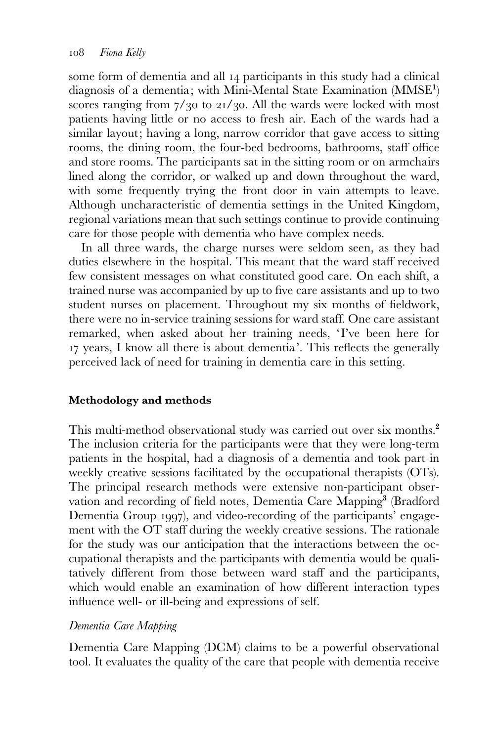some form of dementia and all 14 participants in this study had a clinical diagnosis of a dementia; with Mini-Mental State Examination (MMSE<sup>1</sup>) scores ranging from  $7/30$  to 21/30. All the wards were locked with most patients having little or no access to fresh air. Each of the wards had a similar layout; having a long, narrow corridor that gave access to sitting rooms, the dining room, the four-bed bedrooms, bathrooms, staff office and store rooms. The participants sat in the sitting room or on armchairs lined along the corridor, or walked up and down throughout the ward, with some frequently trying the front door in vain attempts to leave. Although uncharacteristic of dementia settings in the United Kingdom, regional variations mean that such settings continue to provide continuing care for those people with dementia who have complex needs.

In all three wards, the charge nurses were seldom seen, as they had duties elsewhere in the hospital. This meant that the ward staff received few consistent messages on what constituted good care. On each shift, a trained nurse was accompanied by up to five care assistants and up to two student nurses on placement. Throughout my six months of fieldwork, there were no in-service training sessions for ward staff. One care assistant remarked, when asked about her training needs, 'I've been here for 17 years, I know all there is about dementia'. This reflects the generally perceived lack of need for training in dementia care in this setting.

# Methodology and methods

This multi-method observational study was carried out over six months.<sup>2</sup> The inclusion criteria for the participants were that they were long-term patients in the hospital, had a diagnosis of a dementia and took part in weekly creative sessions facilitated by the occupational therapists (OTs). The principal research methods were extensive non-participant observation and recording of field notes, Dementia Care Mapping<sup>3</sup> (Bradford Dementia Group 1997), and video-recording of the participants' engagement with the OT staff during the weekly creative sessions. The rationale for the study was our anticipation that the interactions between the occupational therapists and the participants with dementia would be qualitatively different from those between ward staff and the participants, which would enable an examination of how different interaction types influence well- or ill-being and expressions of self.

# Dementia Care Mapping

Dementia Care Mapping (DCM) claims to be a powerful observational tool. It evaluates the quality of the care that people with dementia receive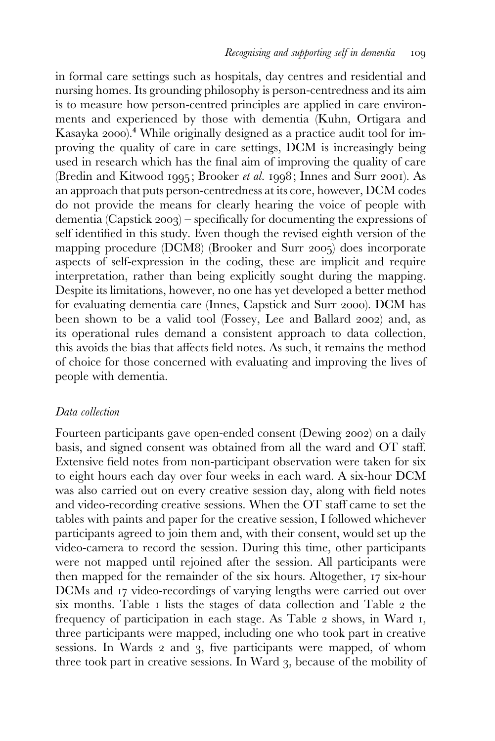in formal care settings such as hospitals, day centres and residential and nursing homes. Its grounding philosophy is person-centredness and its aim is to measure how person-centred principles are applied in care environments and experienced by those with dementia (Kuhn, Ortigara and Kasayka 2000).<sup>4</sup> While originally designed as a practice audit tool for improving the quality of care in care settings, DCM is increasingly being used in research which has the final aim of improving the quality of care (Bredin and Kitwood 1995; Brooker et al. 1998; Innes and Surr 2001). As an approach that puts person-centredness at its core, however, DCM codes do not provide the means for clearly hearing the voice of people with dementia (Capstick 2003) – specifically for documenting the expressions of self identified in this study. Even though the revised eighth version of the mapping procedure (DCM8) (Brooker and Surr 2005) does incorporate aspects of self-expression in the coding, these are implicit and require interpretation, rather than being explicitly sought during the mapping. Despite its limitations, however, no one has yet developed a better method for evaluating dementia care (Innes, Capstick and Surr 2000). DCM has been shown to be a valid tool (Fossey, Lee and Ballard 2002) and, as its operational rules demand a consistent approach to data collection, this avoids the bias that affects field notes. As such, it remains the method of choice for those concerned with evaluating and improving the lives of people with dementia.

#### Data collection

Fourteen participants gave open-ended consent (Dewing 2002) on a daily basis, and signed consent was obtained from all the ward and OT staff. Extensive field notes from non-participant observation were taken for six to eight hours each day over four weeks in each ward. A six-hour DCM was also carried out on every creative session day, along with field notes and video-recording creative sessions. When the OT staff came to set the tables with paints and paper for the creative session, I followed whichever participants agreed to join them and, with their consent, would set up the video-camera to record the session. During this time, other participants were not mapped until rejoined after the session. All participants were then mapped for the remainder of the six hours. Altogether, 17 six-hour DCMs and 17 video-recordings of varying lengths were carried out over six months. Table 1 lists the stages of data collection and Table 2 the frequency of participation in each stage. As Table 2 shows, in Ward 1, three participants were mapped, including one who took part in creative sessions. In Wards 2 and 3, five participants were mapped, of whom three took part in creative sessions. In Ward 3, because of the mobility of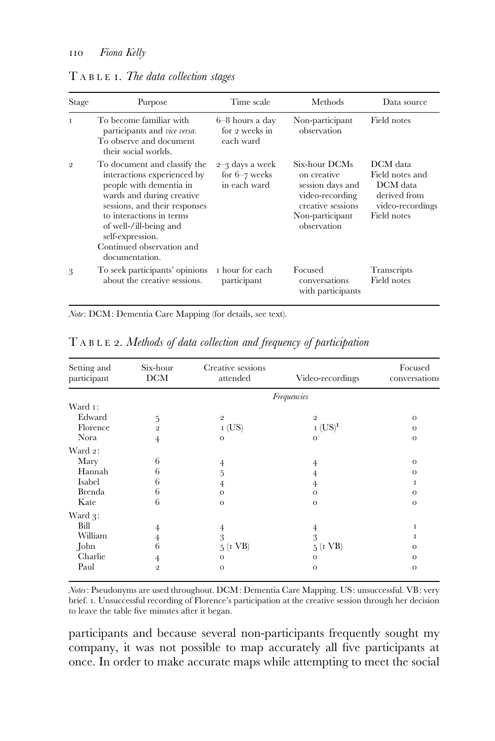| Stage          | Purpose                                                                                                                                                                                                                                                                       | Time scale                                           | Methods                                                                                                                    | Data source<br>Field notes                                                                 |  |
|----------------|-------------------------------------------------------------------------------------------------------------------------------------------------------------------------------------------------------------------------------------------------------------------------------|------------------------------------------------------|----------------------------------------------------------------------------------------------------------------------------|--------------------------------------------------------------------------------------------|--|
| T              | To become familiar with<br>participants and <i>vice versa</i> .<br>To observe and document<br>their social worlds.                                                                                                                                                            | $6-8$ hours a day<br>for 2 weeks in<br>each ward     | Non-participant<br>observation                                                                                             |                                                                                            |  |
| $\overline{2}$ | To document and classify the<br>interactions experienced by<br>people with dementia in<br>wards and during creative<br>sessions, and their responses<br>to interactions in terms<br>of well-/ill-being and<br>self-expression.<br>Continued observation and<br>documentation. | $2-3$ days a week<br>for $6-7$ weeks<br>in each ward | Six-hour DCMs<br>on creative<br>session days and<br>video-recording<br>creative sessions<br>Non-participant<br>observation | DCM data<br>Field notes and<br>DCM data<br>derived from<br>video-recordings<br>Field notes |  |
| 3              | To seek participants' opinions<br>about the creative sessions.                                                                                                                                                                                                                | I hour for each<br>participant                       | Focused<br>conversations<br>with participants                                                                              | <b>Transcripts</b><br>Field notes                                                          |  |

T ABLE 1. The data collection stages

Note: DCM: Dementia Care Mapping (for details, see text).

| Setting and<br>participant | Six-hour<br>DCM | Creative sessions<br>attended | Video-recordings         | Focused<br>conversations |  |  |  |  |
|----------------------------|-----------------|-------------------------------|--------------------------|--------------------------|--|--|--|--|
|                            |                 | Frequencies                   |                          |                          |  |  |  |  |
| Ward 1:                    |                 |                               |                          |                          |  |  |  |  |
| Edward                     | 5               | $\overline{2}$                | $\overline{2}$           | $\mathbf{o}$             |  |  |  |  |
| Florence                   | $\overline{2}$  | I (US)                        | $I (US)^1$               | $\Omega$                 |  |  |  |  |
| Nora                       | $\overline{4}$  | $\mathbf{O}$                  | $\mathbf{O}$             | $\mathbf{o}$             |  |  |  |  |
| Ward 2:                    |                 |                               |                          |                          |  |  |  |  |
| Mary                       | 6               | 4                             | 4                        | $\Omega$                 |  |  |  |  |
| Hannah                     | 6               | 5                             | 4                        | $\Omega$                 |  |  |  |  |
| Isabel                     | 6               | 4                             | 4                        | I                        |  |  |  |  |
| Brenda                     | 6               | $\Omega$                      | $\Omega$                 | $\mathbf{o}$             |  |  |  |  |
| Kate                       | 6               | $\Omega$                      | $\Omega$                 | $\Omega$                 |  |  |  |  |
| Ward $3$ :                 |                 |                               |                          |                          |  |  |  |  |
| Bill                       | $\overline{4}$  | $\overline{4}$                | $\overline{4}$           | I                        |  |  |  |  |
| William                    | $\overline{4}$  | 3                             | 3                        | I                        |  |  |  |  |
| John                       | 6               | $5$ ( $\overline{1}$ VB)      | $5$ ( $\overline{1}$ VB) | $\Omega$                 |  |  |  |  |
| Charlie                    | 4               | $\Omega$                      | $\Omega$                 | $\Omega$                 |  |  |  |  |
| Paul                       | $\overline{2}$  | $\Omega$                      | $\Omega$                 | $\mathbf{o}$             |  |  |  |  |

T ABLE 2. Methods of data collection and frequency of participation

Notes: Pseudonyms are used throughout. DCM: Dementia Care Mapping. US: unsuccessful. VB: very brief. 1. Unsuccessful recording of Florence's participation at the creative session through her decision to leave the table five minutes after it began.

participants and because several non-participants frequently sought my company, it was not possible to map accurately all five participants at once. In order to make accurate maps while attempting to meet the social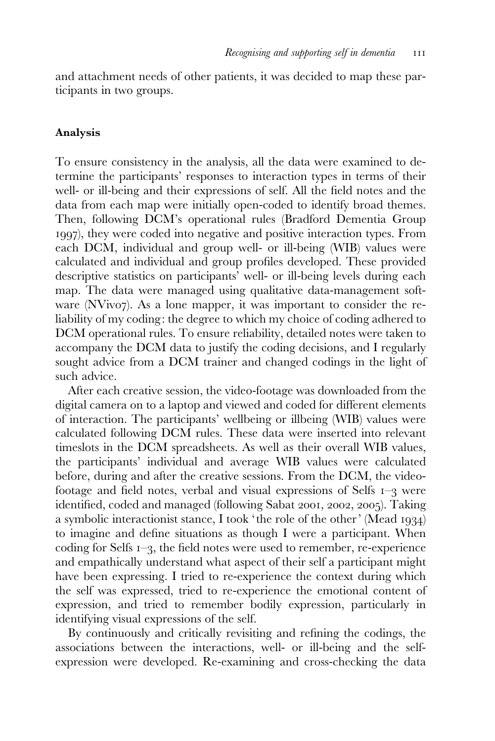and attachment needs of other patients, it was decided to map these participants in two groups.

#### Analysis

To ensure consistency in the analysis, all the data were examined to determine the participants' responses to interaction types in terms of their well- or ill-being and their expressions of self. All the field notes and the data from each map were initially open-coded to identify broad themes. Then, following DCM's operational rules (Bradford Dementia Group 1997), they were coded into negative and positive interaction types. From each DCM, individual and group well- or ill-being (WIB) values were calculated and individual and group profiles developed. These provided descriptive statistics on participants' well- or ill-being levels during each map. The data were managed using qualitative data-management software (NVivo7). As a lone mapper, it was important to consider the reliability of my coding: the degree to which my choice of coding adhered to DCM operational rules. To ensure reliability, detailed notes were taken to accompany the DCM data to justify the coding decisions, and I regularly sought advice from a DCM trainer and changed codings in the light of such advice.

After each creative session, the video-footage was downloaded from the digital camera on to a laptop and viewed and coded for different elements of interaction. The participants' wellbeing or illbeing (WIB) values were calculated following DCM rules. These data were inserted into relevant timeslots in the DCM spreadsheets. As well as their overall WIB values, the participants' individual and average WIB values were calculated before, during and after the creative sessions. From the DCM, the videofootage and field notes, verbal and visual expressions of Selfs 1–3 were identified, coded and managed (following Sabat 2001, 2002, 2005). Taking a symbolic interactionist stance, I took 'the role of the other' (Mead 1934) to imagine and define situations as though I were a participant. When coding for Selfs 1–3, the field notes were used to remember, re-experience and empathically understand what aspect of their self a participant might have been expressing. I tried to re-experience the context during which the self was expressed, tried to re-experience the emotional content of expression, and tried to remember bodily expression, particularly in identifying visual expressions of the self.

By continuously and critically revisiting and refining the codings, the associations between the interactions, well- or ill-being and the selfexpression were developed. Re-examining and cross-checking the data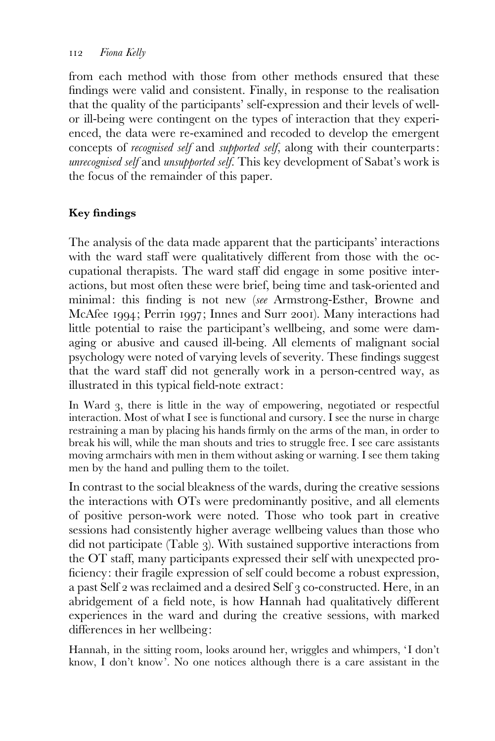from each method with those from other methods ensured that these findings were valid and consistent. Finally, in response to the realisation that the quality of the participants' self-expression and their levels of wellor ill-being were contingent on the types of interaction that they experienced, the data were re-examined and recoded to develop the emergent concepts of recognised self and supported self, along with their counterparts: unrecognised self and unsupported self. This key development of Sabat's work is the focus of the remainder of this paper.

# Key findings

The analysis of the data made apparent that the participants' interactions with the ward staff were qualitatively different from those with the occupational therapists. The ward staff did engage in some positive interactions, but most often these were brief, being time and task-oriented and minimal: this finding is not new (see Armstrong-Esther, Browne and McAfee 1994; Perrin 1997; Innes and Surr 2001). Many interactions had little potential to raise the participant's wellbeing, and some were damaging or abusive and caused ill-being. All elements of malignant social psychology were noted of varying levels of severity. These findings suggest that the ward staff did not generally work in a person-centred way, as illustrated in this typical field-note extract:

In Ward 3, there is little in the way of empowering, negotiated or respectful interaction. Most of what I see is functional and cursory. I see the nurse in charge restraining a man by placing his hands firmly on the arms of the man, in order to break his will, while the man shouts and tries to struggle free. I see care assistants moving armchairs with men in them without asking or warning. I see them taking men by the hand and pulling them to the toilet.

In contrast to the social bleakness of the wards, during the creative sessions the interactions with OTs were predominantly positive, and all elements of positive person-work were noted. Those who took part in creative sessions had consistently higher average wellbeing values than those who did not participate (Table 3). With sustained supportive interactions from the OT staff, many participants expressed their self with unexpected proficiency: their fragile expression of self could become a robust expression, a past Self 2 was reclaimed and a desired Self 3 co-constructed. Here, in an abridgement of a field note, is how Hannah had qualitatively different experiences in the ward and during the creative sessions, with marked differences in her wellbeing:

Hannah, in the sitting room, looks around her, wriggles and whimpers, 'I don't know, I don't know'. No one notices although there is a care assistant in the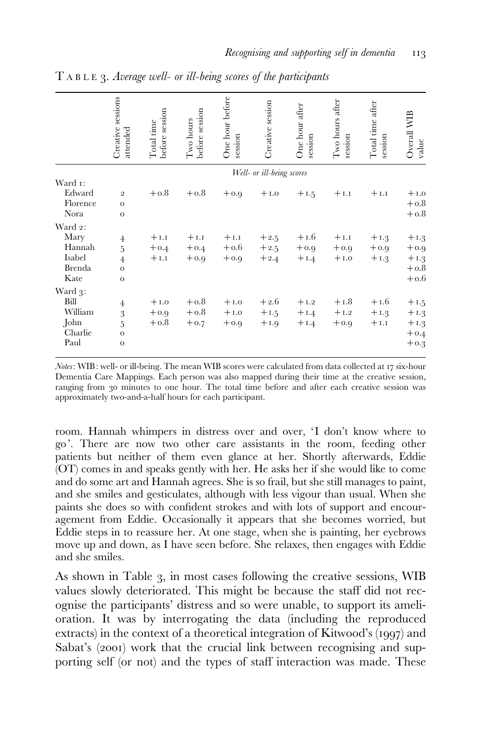|                                                       | Creative sessions<br>attended                                    | before session<br>Total time | before session<br>I'wo hours | One hour before<br>session | Creative session           | One hour after<br>session  | Two hours after<br>session | Total time after<br>session | Overall WIB<br>value                           |
|-------------------------------------------------------|------------------------------------------------------------------|------------------------------|------------------------------|----------------------------|----------------------------|----------------------------|----------------------------|-----------------------------|------------------------------------------------|
|                                                       | Well- or ill-being scores                                        |                              |                              |                            |                            |                            |                            |                             |                                                |
| Ward 1:<br>Edward<br>Florence<br>Nora                 | $\overline{2}$<br>$\sigma$<br>$\sigma$                           | $+0.8$                       | $+0.8$                       | $+0.9$                     | $+1.0$                     | $+1.5$                     | $+1.1$                     | $+1.1$                      | $+1.0$<br>$+0.8$<br>$+0.8$                     |
| Ward 2:<br>Mary<br>Hannah<br>Isabel<br>Brenda<br>Kate | $\overline{4}$<br>5<br>$\overline{4}$<br>$\mathbf O$<br>$\sigma$ | $+1.1$<br>$+0.4$<br>$+1.1$   | $+1.1$<br>$+0.4$<br>$+0.9$   | $+1.1$<br>$+0.6$<br>$+0.9$ | $+2.5$<br>$+2.5$<br>$+2.4$ | $+1.6$<br>$+0.9$<br>$+1.4$ | $+1.1$<br>$+0.9$<br>$+1.0$ | $+1.3$<br>$+0.9$<br>$+1.3$  | $+1.3$<br>$+0.9$<br>$+1.3$<br>$+0.8$<br>$+0.6$ |
| Ward 3:<br>Bill<br>William<br>John<br>Charlie<br>Paul | $\overline{4}$<br>3<br>5<br>$\mathbf O$<br>$\mathbf{o}$          | $+1.0$<br>$+0.9$<br>$+0.8$   | $+0.8$<br>$+0.8$<br>$+0.7$   | $+1.0$<br>$+1.0$<br>$+0.9$ | $+2.6$<br>$+1.5$<br>$+1.9$ | $+1.2$<br>$+1.4$<br>$+1.4$ | $+1.8$<br>$+1.2$<br>$+0.9$ | $+1.6$<br>$+1.3$<br>$+1.1$  | $+1.5$<br>$+1.3$<br>$+1.3$<br>$+0.4$<br>$+0.3$ |

T ABLE 3. Average well- or ill-being scores of the participants

Notes: WIB: well- or ill-being. The mean WIB scores were calculated from data collected at 17 six-hour Dementia Care Mappings. Each person was also mapped during their time at the creative session, ranging from 30 minutes to one hour. The total time before and after each creative session was approximately two-and-a-half hours for each participant.

room. Hannah whimpers in distress over and over, 'I don't know where to go'. There are now two other care assistants in the room, feeding other patients but neither of them even glance at her. Shortly afterwards, Eddie (OT) comes in and speaks gently with her. He asks her if she would like to come and do some art and Hannah agrees. She is so frail, but she still manages to paint, and she smiles and gesticulates, although with less vigour than usual. When she paints she does so with confident strokes and with lots of support and encouragement from Eddie. Occasionally it appears that she becomes worried, but Eddie steps in to reassure her. At one stage, when she is painting, her eyebrows move up and down, as I have seen before. She relaxes, then engages with Eddie and she smiles.

As shown in Table 3, in most cases following the creative sessions, WIB values slowly deteriorated. This might be because the staff did not recognise the participants' distress and so were unable, to support its amelioration. It was by interrogating the data (including the reproduced extracts) in the context of a theoretical integration of Kitwood's (1997) and Sabat's (2001) work that the crucial link between recognising and supporting self (or not) and the types of staff interaction was made. These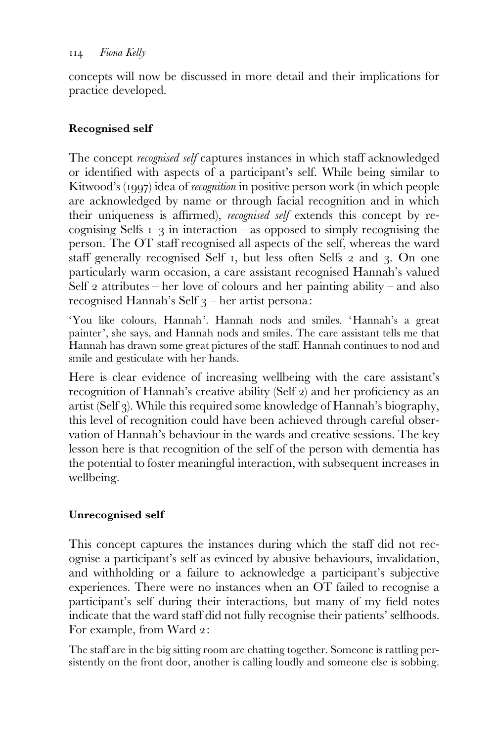concepts will now be discussed in more detail and their implications for practice developed.

# Recognised self

The concept recognised self captures instances in which staff acknowledged or identified with aspects of a participant's self. While being similar to Kitwood's (1997) idea of recognition in positive person work (in which people are acknowledged by name or through facial recognition and in which their uniqueness is affirmed), recognised self extends this concept by recognising Selfs  $I_{-3}$  in interaction – as opposed to simply recognising the person. The OT staff recognised all aspects of the self, whereas the ward staff generally recognised Self 1, but less often Selfs 2 and 3. On one particularly warm occasion, a care assistant recognised Hannah's valued Self 2 attributes – her love of colours and her painting ability – and also recognised Hannah's Self  $q$  – her artist persona:

'You like colours, Hannah'. Hannah nods and smiles. 'Hannah's a great painter', she says, and Hannah nods and smiles. The care assistant tells me that Hannah has drawn some great pictures of the staff. Hannah continues to nod and smile and gesticulate with her hands.

Here is clear evidence of increasing wellbeing with the care assistant's recognition of Hannah's creative ability (Self 2) and her proficiency as an artist (Self 3). While this required some knowledge of Hannah's biography, this level of recognition could have been achieved through careful observation of Hannah's behaviour in the wards and creative sessions. The key lesson here is that recognition of the self of the person with dementia has the potential to foster meaningful interaction, with subsequent increases in wellbeing.

# Unrecognised self

This concept captures the instances during which the staff did not recognise a participant's self as evinced by abusive behaviours, invalidation, and withholding or a failure to acknowledge a participant's subjective experiences. There were no instances when an OT failed to recognise a participant's self during their interactions, but many of my field notes indicate that the ward staff did not fully recognise their patients' selfhoods. For example, from Ward 2:

The staff are in the big sitting room are chatting together. Someone is rattling persistently on the front door, another is calling loudly and someone else is sobbing.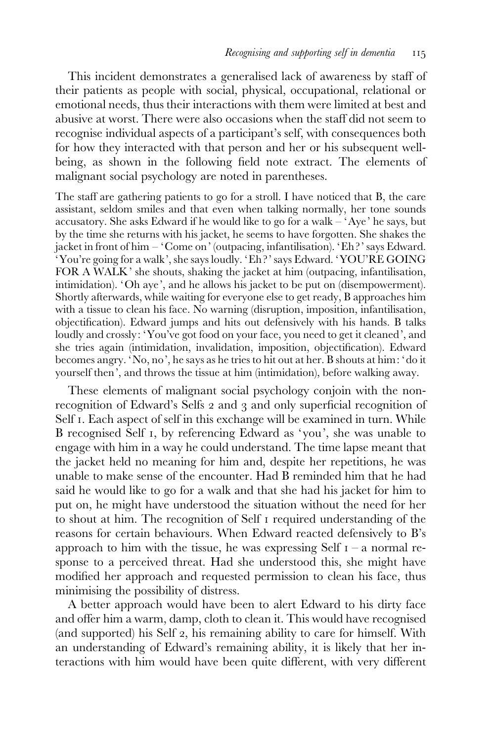This incident demonstrates a generalised lack of awareness by staff of their patients as people with social, physical, occupational, relational or emotional needs, thus their interactions with them were limited at best and abusive at worst. There were also occasions when the staff did not seem to recognise individual aspects of a participant's self, with consequences both for how they interacted with that person and her or his subsequent wellbeing, as shown in the following field note extract. The elements of malignant social psychology are noted in parentheses.

The staff are gathering patients to go for a stroll. I have noticed that B, the care assistant, seldom smiles and that even when talking normally, her tone sounds accusatory. She asks Edward if he would like to go for a walk – 'Aye' he says, but by the time she returns with his jacket, he seems to have forgotten. She shakes the jacket in front of him – 'Come on' (outpacing, infantilisation). 'Eh ?' says Edward. 'You're going for a walk', she says loudly. 'Eh ?' says Edward. 'YOU'RE GOING FOR A WALK' she shouts, shaking the jacket at him (outpacing, infantilisation, intimidation). 'Oh aye', and he allows his jacket to be put on (disempowerment). Shortly afterwards, while waiting for everyone else to get ready, B approaches him with a tissue to clean his face. No warning (disruption, imposition, infantilisation, objectification). Edward jumps and hits out defensively with his hands. B talks loudly and crossly: 'You've got food on your face, you need to get it cleaned', and she tries again (intimidation, invalidation, imposition, objectification). Edward becomes angry. 'No, no', he says as he tries to hit out at her. B shouts at him: 'do it yourself then', and throws the tissue at him (intimidation), before walking away.

These elements of malignant social psychology conjoin with the nonrecognition of Edward's Selfs 2 and 3 and only superficial recognition of Self I. Each aspect of self in this exchange will be examined in turn. While B recognised Self 1, by referencing Edward as 'you', she was unable to engage with him in a way he could understand. The time lapse meant that the jacket held no meaning for him and, despite her repetitions, he was unable to make sense of the encounter. Had B reminded him that he had said he would like to go for a walk and that she had his jacket for him to put on, he might have understood the situation without the need for her to shout at him. The recognition of Self 1 required understanding of the reasons for certain behaviours. When Edward reacted defensively to B's approach to him with the tissue, he was expressing Self  $I - a$  normal response to a perceived threat. Had she understood this, she might have modified her approach and requested permission to clean his face, thus minimising the possibility of distress.

A better approach would have been to alert Edward to his dirty face and offer him a warm, damp, cloth to clean it. This would have recognised (and supported) his Self 2, his remaining ability to care for himself. With an understanding of Edward's remaining ability, it is likely that her interactions with him would have been quite different, with very different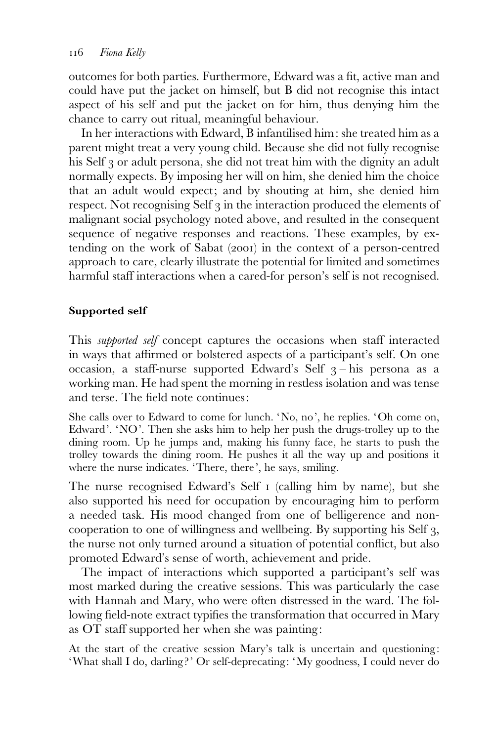outcomes for both parties. Furthermore, Edward was a fit, active man and could have put the jacket on himself, but B did not recognise this intact aspect of his self and put the jacket on for him, thus denying him the chance to carry out ritual, meaningful behaviour.

In her interactions with Edward, B infantilised him: she treated him as a parent might treat a very young child. Because she did not fully recognise his Self 3 or adult persona, she did not treat him with the dignity an adult normally expects. By imposing her will on him, she denied him the choice that an adult would expect; and by shouting at him, she denied him respect. Not recognising Self 3 in the interaction produced the elements of malignant social psychology noted above, and resulted in the consequent sequence of negative responses and reactions. These examples, by extending on the work of Sabat (2001) in the context of a person-centred approach to care, clearly illustrate the potential for limited and sometimes harmful staff interactions when a cared-for person's self is not recognised.

# Supported self

This supported self concept captures the occasions when staff interacted in ways that affirmed or bolstered aspects of a participant's self. On one occasion, a staff-nurse supported Edward's Self  $3$ -his persona as a working man. He had spent the morning in restless isolation and was tense and terse. The field note continues:

She calls over to Edward to come for lunch. 'No, no', he replies. 'Oh come on, Edward'. 'NO'. Then she asks him to help her push the drugs-trolley up to the dining room. Up he jumps and, making his funny face, he starts to push the trolley towards the dining room. He pushes it all the way up and positions it where the nurse indicates. 'There, there', he says, smiling.

The nurse recognised Edward's Self 1 (calling him by name), but she also supported his need for occupation by encouraging him to perform a needed task. His mood changed from one of belligerence and noncooperation to one of willingness and wellbeing. By supporting his Self 3, the nurse not only turned around a situation of potential conflict, but also promoted Edward's sense of worth, achievement and pride.

The impact of interactions which supported a participant's self was most marked during the creative sessions. This was particularly the case with Hannah and Mary, who were often distressed in the ward. The following field-note extract typifies the transformation that occurred in Mary as OT staff supported her when she was painting:

At the start of the creative session Mary's talk is uncertain and questioning: 'What shall I do, darling ?' Or self-deprecating: 'My goodness, I could never do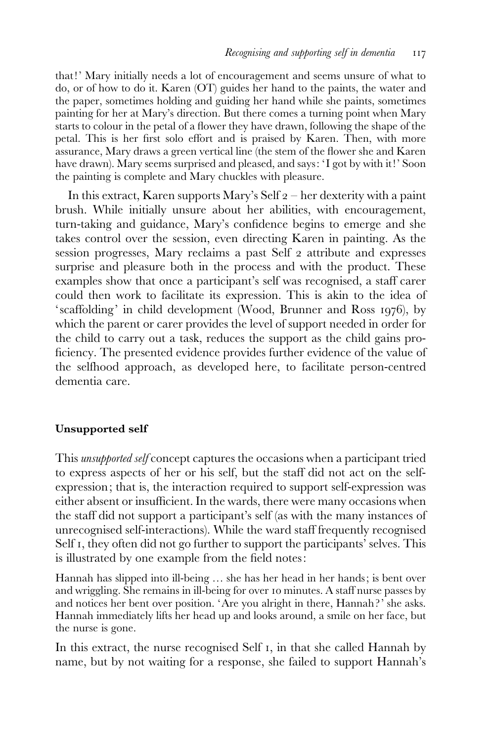that!' Mary initially needs a lot of encouragement and seems unsure of what to do, or of how to do it. Karen (OT) guides her hand to the paints, the water and the paper, sometimes holding and guiding her hand while she paints, sometimes painting for her at Mary's direction. But there comes a turning point when Mary starts to colour in the petal of a flower they have drawn, following the shape of the petal. This is her first solo effort and is praised by Karen. Then, with more assurance, Mary draws a green vertical line (the stem of the flower she and Karen have drawn). Mary seems surprised and pleased, and says: ' I got by with it!' Soon the painting is complete and Mary chuckles with pleasure.

In this extract, Karen supports Mary's Self  $2$  – her dexterity with a paint brush. While initially unsure about her abilities, with encouragement, turn-taking and guidance, Mary's confidence begins to emerge and she takes control over the session, even directing Karen in painting. As the session progresses, Mary reclaims a past Self 2 attribute and expresses surprise and pleasure both in the process and with the product. These examples show that once a participant's self was recognised, a staff carer could then work to facilitate its expression. This is akin to the idea of ' scaffolding' in child development (Wood, Brunner and Ross 1976), by which the parent or carer provides the level of support needed in order for the child to carry out a task, reduces the support as the child gains proficiency. The presented evidence provides further evidence of the value of the selfhood approach, as developed here, to facilitate person-centred dementia care.

### Unsupported self

This unsupported self concept captures the occasions when a participant tried to express aspects of her or his self, but the staff did not act on the selfexpression; that is, the interaction required to support self-expression was either absent or insufficient. In the wards, there were many occasions when the staff did not support a participant's self (as with the many instances of unrecognised self-interactions). While the ward staff frequently recognised Self 1, they often did not go further to support the participants' selves. This is illustrated by one example from the field notes:

Hannah has slipped into ill-being … she has her head in her hands; is bent over and wriggling. She remains in ill-being for over 10 minutes. A staff nurse passes by and notices her bent over position. 'Are you alright in there, Hannah ?' she asks. Hannah immediately lifts her head up and looks around, a smile on her face, but the nurse is gone.

In this extract, the nurse recognised Self 1, in that she called Hannah by name, but by not waiting for a response, she failed to support Hannah's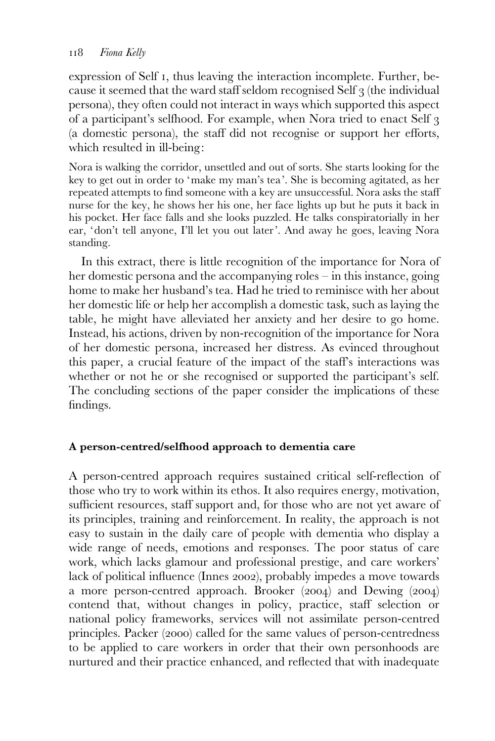expression of Self 1, thus leaving the interaction incomplete. Further, because it seemed that the ward staff seldom recognised Self 3 (the individual persona), they often could not interact in ways which supported this aspect of a participant's selfhood. For example, when Nora tried to enact Self 3 (a domestic persona), the staff did not recognise or support her efforts, which resulted in ill-being:

Nora is walking the corridor, unsettled and out of sorts. She starts looking for the key to get out in order to 'make my man's tea'. She is becoming agitated, as her repeated attempts to find someone with a key are unsuccessful. Nora asks the staff nurse for the key, he shows her his one, her face lights up but he puts it back in his pocket. Her face falls and she looks puzzled. He talks conspiratorially in her ear, 'don't tell anyone, I'll let you out later'. And away he goes, leaving Nora standing.

In this extract, there is little recognition of the importance for Nora of her domestic persona and the accompanying roles – in this instance, going home to make her husband's tea. Had he tried to reminisce with her about her domestic life or help her accomplish a domestic task, such as laying the table, he might have alleviated her anxiety and her desire to go home. Instead, his actions, driven by non-recognition of the importance for Nora of her domestic persona, increased her distress. As evinced throughout this paper, a crucial feature of the impact of the staff's interactions was whether or not he or she recognised or supported the participant's self. The concluding sections of the paper consider the implications of these findings.

# A person-centred/selfhood approach to dementia care

A person-centred approach requires sustained critical self-reflection of those who try to work within its ethos. It also requires energy, motivation, sufficient resources, staff support and, for those who are not yet aware of its principles, training and reinforcement. In reality, the approach is not easy to sustain in the daily care of people with dementia who display a wide range of needs, emotions and responses. The poor status of care work, which lacks glamour and professional prestige, and care workers' lack of political influence (Innes 2002), probably impedes a move towards a more person-centred approach. Brooker (2004) and Dewing (2004) contend that, without changes in policy, practice, staff selection or national policy frameworks, services will not assimilate person-centred principles. Packer (2000) called for the same values of person-centredness to be applied to care workers in order that their own personhoods are nurtured and their practice enhanced, and reflected that with inadequate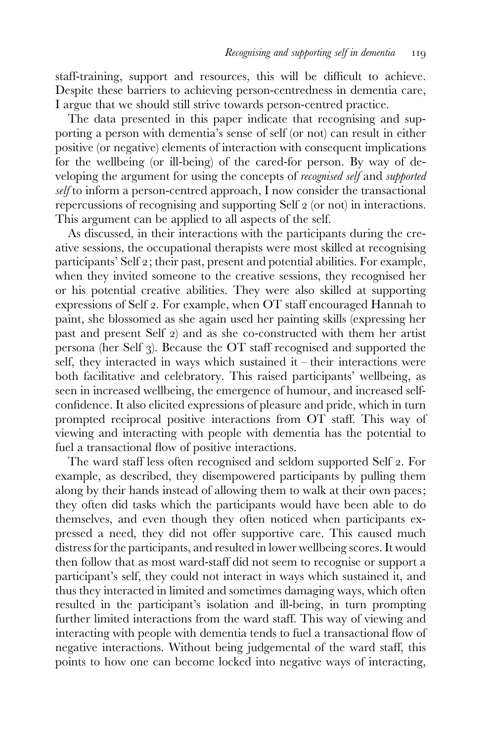staff-training, support and resources, this will be difficult to achieve. Despite these barriers to achieving person-centredness in dementia care, I argue that we should still strive towards person-centred practice.

The data presented in this paper indicate that recognising and supporting a person with dementia's sense of self (or not) can result in either positive (or negative) elements of interaction with consequent implications for the wellbeing (or ill-being) of the cared-for person. By way of developing the argument for using the concepts of recognised self and supported self to inform a person-centred approach, I now consider the transactional repercussions of recognising and supporting Self 2 (or not) in interactions. This argument can be applied to all aspects of the self.

As discussed, in their interactions with the participants during the creative sessions, the occupational therapists were most skilled at recognising participants' Self 2; their past, present and potential abilities. For example, when they invited someone to the creative sessions, they recognised her or his potential creative abilities. They were also skilled at supporting expressions of Self 2. For example, when OT staff encouraged Hannah to paint, she blossomed as she again used her painting skills (expressing her past and present Self 2) and as she co-constructed with them her artist persona (her Self 3). Because the OT staff recognised and supported the self, they interacted in ways which sustained it – their interactions were both facilitative and celebratory. This raised participants' wellbeing, as seen in increased wellbeing, the emergence of humour, and increased selfconfidence. It also elicited expressions of pleasure and pride, which in turn prompted reciprocal positive interactions from OT staff. This way of viewing and interacting with people with dementia has the potential to fuel a transactional flow of positive interactions.

The ward staff less often recognised and seldom supported Self 2. For example, as described, they disempowered participants by pulling them along by their hands instead of allowing them to walk at their own paces; they often did tasks which the participants would have been able to do themselves, and even though they often noticed when participants expressed a need, they did not offer supportive care. This caused much distress for the participants, and resulted in lower wellbeing scores. It would then follow that as most ward-staff did not seem to recognise or support a participant's self, they could not interact in ways which sustained it, and thus they interacted in limited and sometimes damaging ways, which often resulted in the participant's isolation and ill-being, in turn prompting further limited interactions from the ward staff. This way of viewing and interacting with people with dementia tends to fuel a transactional flow of negative interactions. Without being judgemental of the ward staff, this points to how one can become locked into negative ways of interacting,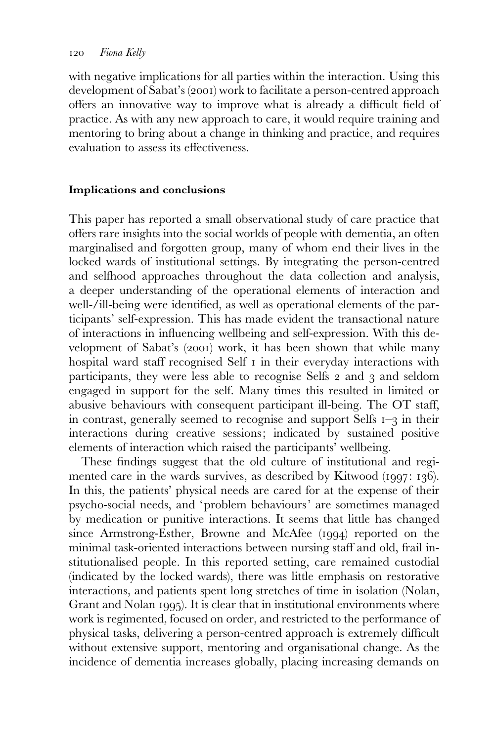with negative implications for all parties within the interaction. Using this development of Sabat's (2001) work to facilitate a person-centred approach offers an innovative way to improve what is already a difficult field of practice. As with any new approach to care, it would require training and mentoring to bring about a change in thinking and practice, and requires evaluation to assess its effectiveness.

# Implications and conclusions

This paper has reported a small observational study of care practice that offers rare insights into the social worlds of people with dementia, an often marginalised and forgotten group, many of whom end their lives in the locked wards of institutional settings. By integrating the person-centred and selfhood approaches throughout the data collection and analysis, a deeper understanding of the operational elements of interaction and well-/ill-being were identified, as well as operational elements of the participants' self-expression. This has made evident the transactional nature of interactions in influencing wellbeing and self-expression. With this development of Sabat's (2001) work, it has been shown that while many hospital ward staff recognised Self 1 in their everyday interactions with participants, they were less able to recognise Selfs 2 and 3 and seldom engaged in support for the self. Many times this resulted in limited or abusive behaviours with consequent participant ill-being. The OT staff, in contrast, generally seemed to recognise and support Selfs  $I_{\alpha}$  in their interactions during creative sessions; indicated by sustained positive elements of interaction which raised the participants' wellbeing.

These findings suggest that the old culture of institutional and regimented care in the wards survives, as described by Kitwood (1997: 136). In this, the patients' physical needs are cared for at the expense of their psycho-social needs, and 'problem behaviours' are sometimes managed by medication or punitive interactions. It seems that little has changed since Armstrong-Esther, Browne and McAfee (1994) reported on the minimal task-oriented interactions between nursing staff and old, frail institutionalised people. In this reported setting, care remained custodial (indicated by the locked wards), there was little emphasis on restorative interactions, and patients spent long stretches of time in isolation (Nolan, Grant and Nolan 1995). It is clear that in institutional environments where work is regimented, focused on order, and restricted to the performance of physical tasks, delivering a person-centred approach is extremely difficult without extensive support, mentoring and organisational change. As the incidence of dementia increases globally, placing increasing demands on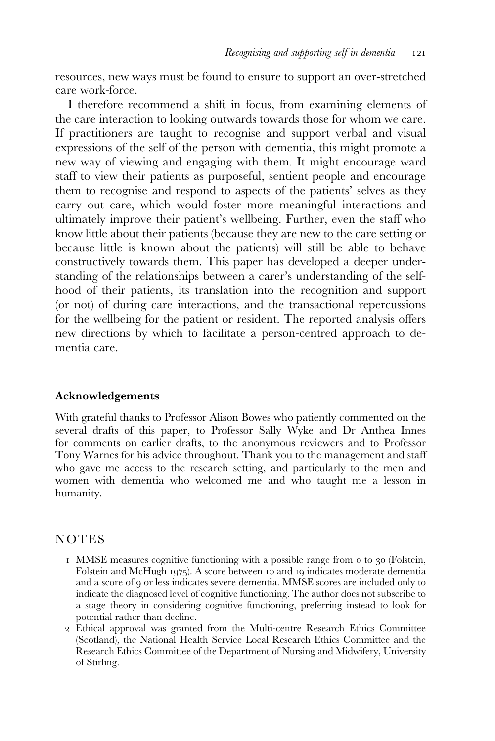resources, new ways must be found to ensure to support an over-stretched care work-force.

I therefore recommend a shift in focus, from examining elements of the care interaction to looking outwards towards those for whom we care. If practitioners are taught to recognise and support verbal and visual expressions of the self of the person with dementia, this might promote a new way of viewing and engaging with them. It might encourage ward staff to view their patients as purposeful, sentient people and encourage them to recognise and respond to aspects of the patients' selves as they carry out care, which would foster more meaningful interactions and ultimately improve their patient's wellbeing. Further, even the staff who know little about their patients (because they are new to the care setting or because little is known about the patients) will still be able to behave constructively towards them. This paper has developed a deeper understanding of the relationships between a carer's understanding of the selfhood of their patients, its translation into the recognition and support (or not) of during care interactions, and the transactional repercussions for the wellbeing for the patient or resident. The reported analysis offers new directions by which to facilitate a person-centred approach to dementia care.

### Acknowledgements

With grateful thanks to Professor Alison Bowes who patiently commented on the several drafts of this paper, to Professor Sally Wyke and Dr Anthea Innes for comments on earlier drafts, to the anonymous reviewers and to Professor Tony Warnes for his advice throughout. Thank you to the management and staff who gave me access to the research setting, and particularly to the men and women with dementia who welcomed me and who taught me a lesson in humanity.

# NOTES

- 1 MMSE measures cognitive functioning with a possible range from 0 to 30 (Folstein, Folstein and McHugh 1975). A score between 10 and 19 indicates moderate dementia and a score of 9 or less indicates severe dementia. MMSE scores are included only to indicate the diagnosed level of cognitive functioning. The author does not subscribe to a stage theory in considering cognitive functioning, preferring instead to look for potential rather than decline.
- 2 Ethical approval was granted from the Multi-centre Research Ethics Committee (Scotland), the National Health Service Local Research Ethics Committee and the Research Ethics Committee of the Department of Nursing and Midwifery, University of Stirling.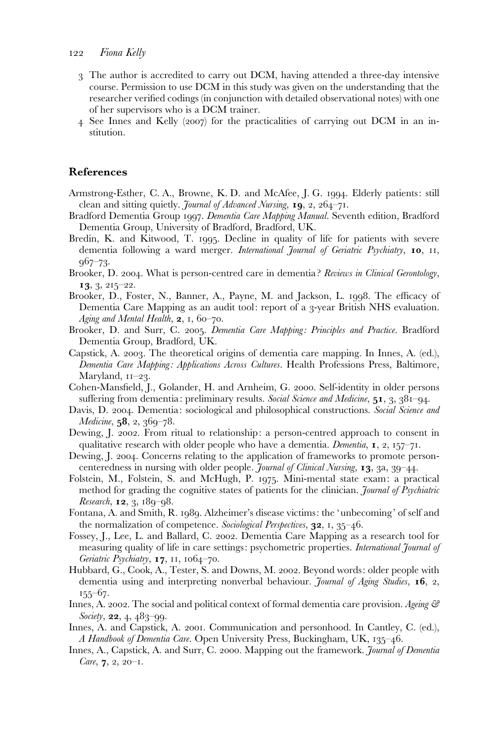- 3 The author is accredited to carry out DCM, having attended a three-day intensive course. Permission to use DCM in this study was given on the understanding that the researcher verified codings (in conjunction with detailed observational notes) with one of her supervisors who is a DCM trainer.
- 4 See Innes and Kelly (2007) for the practicalities of carrying out DCM in an institution.

### References

- Armstrong-Esther, C. A., Browne, K. D. and McAfee, J. G. 1994. Elderly patients: still clean and sitting quietly. *Journal of Advanced Nursing*, **19**, 2, 264–71.
- Bradford Dementia Group 1997. Dementia Care Mapping Manual. Seventh edition, Bradford Dementia Group, University of Bradford, Bradford, UK.
- Bredin, K. and Kitwood, T. 1995. Decline in quality of life for patients with severe dementia following a ward merger. International Journal of Geriatric Psychiatry, 10, 11, 967–73.
- Brooker, D. 2004. What is person-centred care in dementia? Reviews in Clinical Gerontology, 13, 3, 215–22.
- Brooker, D., Foster, N., Banner, A., Payne, M. and Jackson, L. 1998. The efficacy of Dementia Care Mapping as an audit tool: report of a 3-year British NHS evaluation. Aging and Mental Health,  $2$ ,  $1$ ,  $60-70$ .
- Brooker, D. and Surr, C. 2005. Dementia Care Mapping: Principles and Practice. Bradford Dementia Group, Bradford, UK.
- Capstick, A. 2003. The theoretical origins of dementia care mapping. In Innes, A. (ed.), Dementia Care Mapping: Applications Across Cultures. Health Professions Press, Baltimore, Maryland, 11–23.
- Cohen-Mansfield, J., Golander, H. and Arnheim, G. 2000. Self-identity in older persons suffering from dementia: preliminary results. Social Science and Medicine,  $\overline{51}$ , 3, 381–94.
- Davis, D. 2004. Dementia: sociological and philosophical constructions. Social Science and Medicine, 58, 2, 369-78.
- Dewing, J. 2002. From ritual to relationship: a person-centred approach to consent in qualitative research with older people who have a dementia. Dementia,  $\mathbf{I}$ , 2, 157–71.
- Dewing, J. 2004. Concerns relating to the application of frameworks to promote personcenteredness in nursing with older people. Journal of Clinical Nursing, 13, 3a, 39-44.
- Folstein, M., Folstein, S. and McHugh, P. 1975. Mini-mental state exam: a practical method for grading the cognitive states of patients for the clinician. Journal of Psychiatric Research,  $12, 3, 189 - 98$ .
- Fontana, A. and Smith, R. 1989. Alzheimer's disease victims: the ' unbecoming' of self and the normalization of competence. Sociological Perspectives, 32, 1, 35-46.
- Fossey, J., Lee, L. and Ballard, C. 2002. Dementia Care Mapping as a research tool for measuring quality of life in care settings: psychometric properties. *International Journal of* Geriatric Psychiatry,  $17$ ,  $11$ ,  $1064 - 70$ .
- Hubbard, G., Cook, A., Tester, S. and Downs, M. 2002. Beyond words: older people with dementia using and interpreting nonverbal behaviour. Journal of Aging Studies, 16, 2,  $155 - 67.$
- Innes, A. 2002. The social and political context of formal dementia care provision. Ageing  $\mathcal{C}$ *Society*, **22**, 4, 483–99.
- Innes, A. and Capstick, A. 2001. Communication and personhood. In Cantley, C. (ed.), A Handbook of Dementia Care. Open University Press, Buckingham, UK, 135–46.
- Innes, A., Capstick, A. and Surr, C. 2000. Mapping out the framework. *Journal of Dementia* Care,  $7, 2, 20-1$ .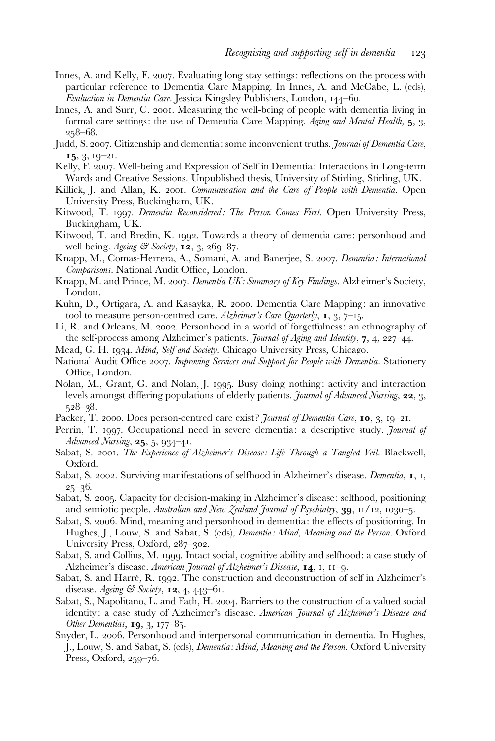- Innes, A. and Kelly, F. 2007. Evaluating long stay settings: reflections on the process with particular reference to Dementia Care Mapping. In Innes, A. and McCabe, L. (eds), Evaluation in Dementia Care. Jessica Kingsley Publishers, London, 144–60.
- Innes, A. and Surr, C. 2001. Measuring the well-being of people with dementia living in formal care settings: the use of Dementia Care Mapping. Aging and Mental Health, 5, 3, 258–68.
- Judd, S. 2007. Citizenship and dementia: some inconvenient truths. Journal of Dementia Care, 15, 3, 19–21.
- Kelly, F. 2007. Well-being and Expression of Self in Dementia: Interactions in Long-term Wards and Creative Sessions. Unpublished thesis, University of Stirling, Stirling, UK.
- Killick, J. and Allan, K. 2001. Communication and the Care of People with Dementia. Open University Press, Buckingham, UK.
- Kitwood, T. 1997. Dementia Reconsidered: The Person Comes First. Open University Press, Buckingham, UK.
- Kitwood, T. and Bredin, K. 1992. Towards a theory of dementia care: personhood and well-being. Ageing  $\mathcal C$  Society, **12**, 3, 269–87.
- Knapp, M., Comas-Herrera, A., Somani, A. and Banerjee, S. 2007. Dementia: International Comparisons. National Audit Office, London.
- Knapp, M. and Prince, M. 2007. Dementia UK: Summary of Key Findings. Alzheimer's Society, London.
- Kuhn, D., Ortigara, A. and Kasayka, R. 2000. Dementia Care Mapping: an innovative tool to measure person-centred care. Alzheimer's Care Quarterly,  $\mathbf{I}$ ,  $3$ ,  $7$ -15.
- Li, R. and Orleans, M. 2002. Personhood in a world of forgetfulness: an ethnography of the self-process among Alzheimer's patients. Journal of Aging and Identity, 7, 4, 227–44.
- Mead, G. H. 1934. Mind, Self and Society. Chicago University Press, Chicago.
- National Audit Office 2007. Improving Services and Support for People with Dementia. Stationery Office, London.
- Nolan, M., Grant, G. and Nolan, J. 1995. Busy doing nothing: activity and interaction levels amongst differing populations of elderly patients. Journal of Advanced Nursing, 22, 3, 528–38.
- Packer, T. 2000. Does person-centred care exist? *Journal of Dementia Care*, 10, 3, 19–21.
- Perrin, T. 1997. Occupational need in severe dementia: a descriptive study. Journal of Advanced Nursing,  $25, 5, 934-41$ .
- Sabat, S. 2001. The Experience of Alzheimer's Disease: Life Through a Tangled Veil. Blackwell, Oxford.
- Sabat, S. 2002. Surviving manifestations of selfhood in Alzheimer's disease. Dementia, **1**, 1, 25–36.
- Sabat, S. 2005. Capacity for decision-making in Alzheimer's disease: selfhood, positioning and semiotic people. Australian and New Zealand Journal of Psychiatry, 39, 11/12, 1030-5.
- Sabat, S. 2006. Mind, meaning and personhood in dementia: the effects of positioning. In Hughes, J., Louw, S. and Sabat, S. (eds), Dementia: Mind, Meaning and the Person. Oxford University Press, Oxford, 287–302.
- Sabat, S. and Collins, M. 1999. Intact social, cognitive ability and selfhood: a case study of Alzheimer's disease. American Journal of Alzheimer's Disease, 14, 1, 11-9.
- Sabat, S. and Harré, R. 1992. The construction and deconstruction of self in Alzheimer's disease. Ageing & Society,  $12, 4, 443$ –61.
- Sabat, S., Napolitano, L. and Fath, H. 2004. Barriers to the construction of a valued social identity: a case study of Alzheimer's disease. American Journal of Alzheimer's Disease and Other Dementias,  $19, 3, 177 - 85$ .
- Snyder, L. 2006. Personhood and interpersonal communication in dementia. In Hughes, J., Louw, S. and Sabat, S. (eds), Dementia: Mind, Meaning and the Person. Oxford University Press, Oxford, 259–76.